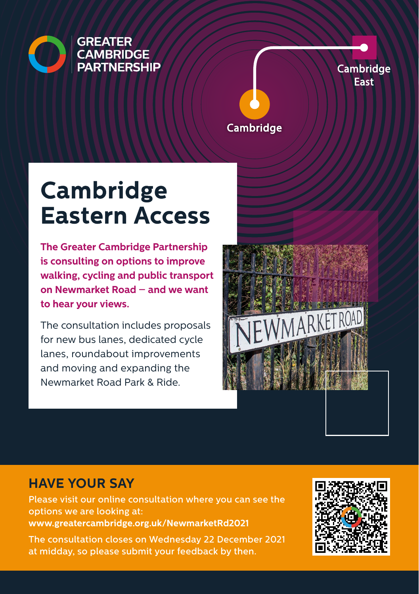

**Cambridge** East

#### Cambridge

# **Cambridge Eastern Access**

**The Greater Cambridge Partnership is consulting on options to improve walking, cycling and public transport on Newmarket Road – and we want to hear your views.**

The consultation includes proposals for new bus lanes, dedicated cycle lanes, roundabout improvements and moving and expanding the Newmarket Road Park & Ride.



## **HAVE YOUR SAY**

Please visit our online consultation where you can see the options we are looking at: **www.greatercambridge.org.uk/NewmarketRd2021**

The consultation closes on Wednesday 22 December 2021 at midday, so please submit your feedback by then.